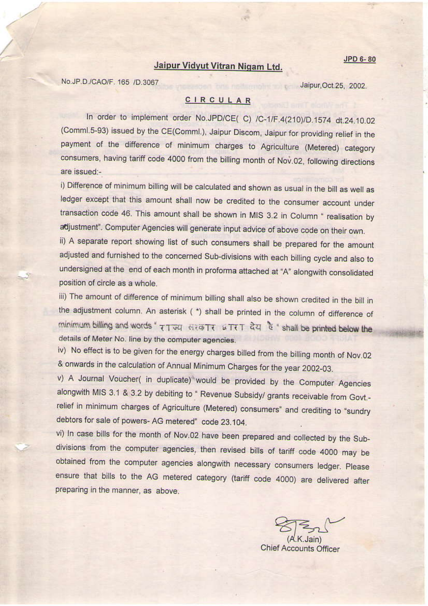## Jaipur Vidyut Vitran Nigam Ltd.

No.JP.D./CAO/F. 165 /D.3067

Jaipur, Oct. 25, 2002.

## CIRCULAR

In order to implement order No.JPD/CE(C) /C-1/F.4(210)/D.1574 dt.24.10.02 (Comml.5-93) issued by the CE(Comml.), Jaipur Discom, Jaipur for providing relief in the payment of the difference of minimum charges to Agriculture (Metered) category consumers, having tariff code 4000 from the billing month of Nov.02, following directions are issued:-

i) Difference of minimum billing will be calculated and shown as usual in the bill as well as ledger except that this amount shall now be credited to the consumer account under transaction code 46. This amount shall be shown in MIS 3.2 in Column " realisation by adjustment". Computer Agencies will generate input advice of above code on their own.

ii) A separate report showing list of such consumers shall be prepared for the amount adjusted and furnished to the concerned Sub-divisions with each billing cycle and also to undersigned at the end of each month in proforma attached at "A" alongwith consolidated position of circle as a whole.

iii) The amount of difference of minimum billing shall also be shown credited in the bill in the adjustment column. An asterisk (\*) shall be printed in the column of difference of minimum billing and words " 77 JU HEATE WIET QU & " shall be printed below the details of Meter No. line by the computer agencies.

iv) No effect is to be given for the energy charges billed from the billing month of Nov.02 & onwards in the calculation of Annual Minimum Charges for the year 2002-03.

v) A Journal Voucher( in duplicate) would be provided by the Computer Agencies alongwith MIS 3.1 & 3.2 by debiting to " Revenue Subsidy/ grants receivable from Govt .relief in minimum charges of Agriculture (Metered) consumers" and crediting to "sundry debtors for sale of powers-AG metered" code 23.104.

vi) In case bills for the month of Nov.02 have been prepared and collected by the Subdivisions from the computer agencies, then revised bills of tariff code 4000 may be obtained from the computer agencies alongwith necessary consumers ledger. Please ensure that bills to the AG metered category (tariff code 4000) are delivered after preparing in the manner, as above.

**Chief Accounts Officer**